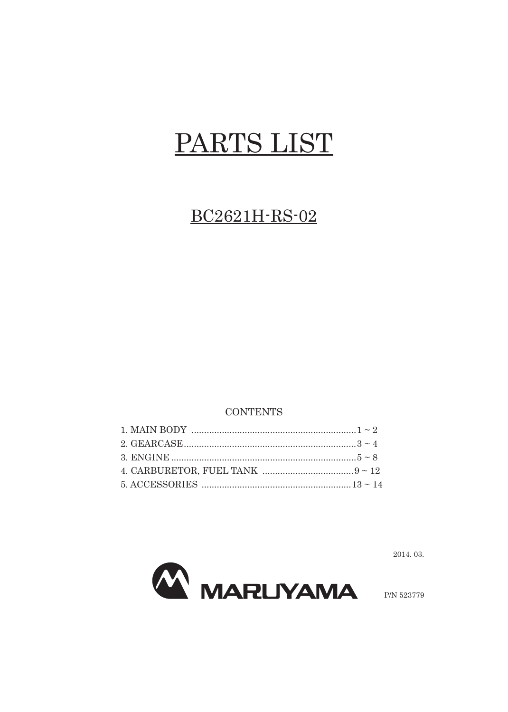## PARTS LIST

## BC2621H-RS-02

## **CONTENTS**

**MARLIYAMA** 

2014.03.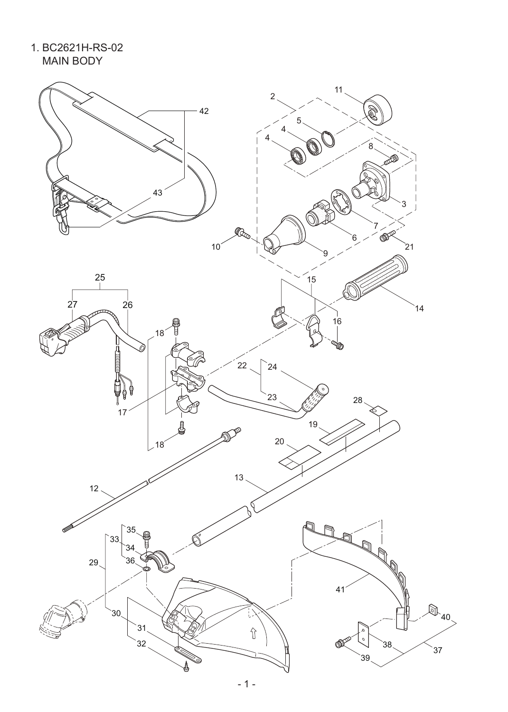1. BC2621H-RS-02 MAIN BODY

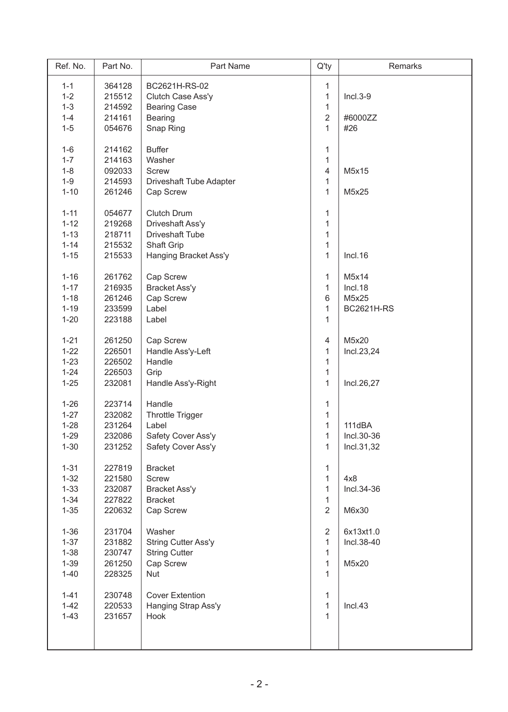| Ref. No. | Part No. | Part Name                  | $Q'$ ty        | Remarks           |
|----------|----------|----------------------------|----------------|-------------------|
| $1 - 1$  | 364128   | BC2621H-RS-02              | 1              |                   |
| $1 - 2$  | 215512   | Clutch Case Ass'y          | $\mathbf{1}$   | $Incl.3-9$        |
| $1 - 3$  | 214592   | <b>Bearing Case</b>        | $\mathbf{1}$   |                   |
| $1 - 4$  | 214161   | <b>Bearing</b>             | $\overline{2}$ | #6000ZZ           |
| $1 - 5$  | 054676   | Snap Ring                  | $\mathbf{1}$   | #26               |
|          |          |                            |                |                   |
| $1 - 6$  | 214162   | <b>Buffer</b>              | 1              |                   |
| $1 - 7$  | 214163   | Washer                     | 1              |                   |
| $1 - 8$  | 092033   | <b>Screw</b>               | $\overline{4}$ | M5x15             |
| $1 - 9$  | 214593   | Driveshaft Tube Adapter    | $\mathbf{1}$   |                   |
| $1 - 10$ | 261246   | Cap Screw                  | $\mathbf{1}$   | M5x25             |
| $1 - 11$ | 054677   | Clutch Drum                | 1              |                   |
| $1 - 12$ | 219268   | Driveshaft Ass'y           | $\mathbf{1}$   |                   |
| $1 - 13$ | 218711   | <b>Driveshaft Tube</b>     | 1              |                   |
| $1 - 14$ | 215532   | Shaft Grip                 | 1              |                   |
| $1 - 15$ | 215533   | Hanging Bracket Ass'y      | $\mathbf{1}$   | Incl.16           |
|          |          |                            |                |                   |
| $1 - 16$ | 261762   | Cap Screw                  | 1              | M5x14             |
| $1 - 17$ | 216935   | <b>Bracket Ass'y</b>       | 1              | Incl.18           |
| $1 - 18$ | 261246   | Cap Screw                  | 6              | M5x25             |
| $1 - 19$ | 233599   | Label                      | 1              | <b>BC2621H-RS</b> |
| $1 - 20$ | 223188   | Label                      | 1              |                   |
| $1 - 21$ | 261250   | Cap Screw                  | $\overline{4}$ | M5x20             |
|          |          |                            |                |                   |
| $1 - 22$ | 226501   | Handle Ass'y-Left          | 1              | Incl.23,24        |
| $1 - 23$ | 226502   | Handle                     | $\mathbf{1}$   |                   |
| $1 - 24$ | 226503   | Grip                       | $\mathbf{1}$   |                   |
| $1 - 25$ | 232081   | Handle Ass'y-Right         | $\mathbf{1}$   | Incl.26,27        |
| $1 - 26$ | 223714   | Handle                     | 1              |                   |
| $1 - 27$ | 232082   | <b>Throttle Trigger</b>    | $\mathbf 1$    |                   |
| $1 - 28$ | 231264   | Label                      | $\mathbf{1}$   | 111dBA            |
| $1 - 29$ | 232086   | Safety Cover Ass'y         | 1              | Incl.30-36        |
| $1 - 30$ | 231252   | Safety Cover Ass'y         | 1              | Incl.31,32        |
|          |          |                            |                |                   |
| $1 - 31$ | 227819   | <b>Bracket</b>             | 1              |                   |
| $1 - 32$ | 221580   | <b>Screw</b>               | 1              | 4x8               |
| $1 - 33$ | 232087   | <b>Bracket Ass'y</b>       | 1              | Incl.34-36        |
| $1 - 34$ | 227822   | <b>Bracket</b>             | $\mathbf{1}$   |                   |
| $1 - 35$ | 220632   | Cap Screw                  | $\overline{2}$ | M6x30             |
|          |          | Washer                     | $\overline{2}$ | 6x13xt1.0         |
| $1 - 36$ | 231704   |                            |                |                   |
| $1 - 37$ | 231882   | <b>String Cutter Ass'y</b> | 1              | Incl.38-40        |
| $1 - 38$ | 230747   | <b>String Cutter</b>       | 1              |                   |
| $1 - 39$ | 261250   | Cap Screw                  | 1              | M5x20             |
| $1 - 40$ | 228325   | <b>Nut</b>                 | $\mathbf{1}$   |                   |
| $1 - 41$ | 230748   | <b>Cover Extention</b>     | $\mathbf 1$    |                   |
| $1 - 42$ | 220533   | Hanging Strap Ass'y        | 1              | Incl.43           |
| $1 - 43$ | 231657   | Hook                       | 1              |                   |
|          |          |                            |                |                   |
|          |          |                            |                |                   |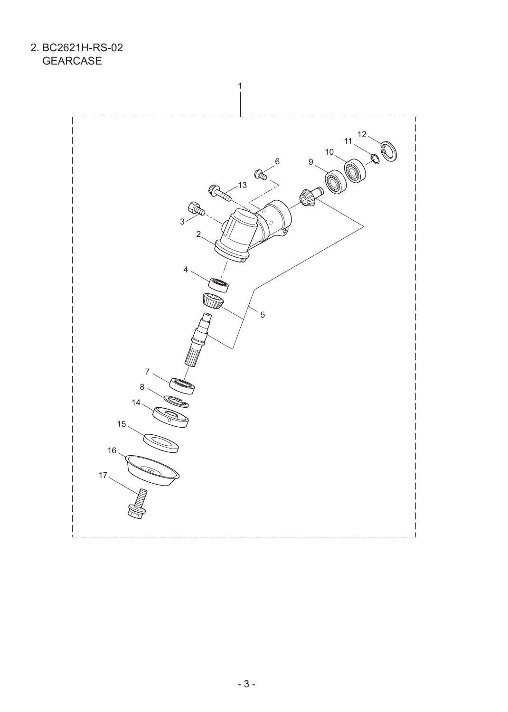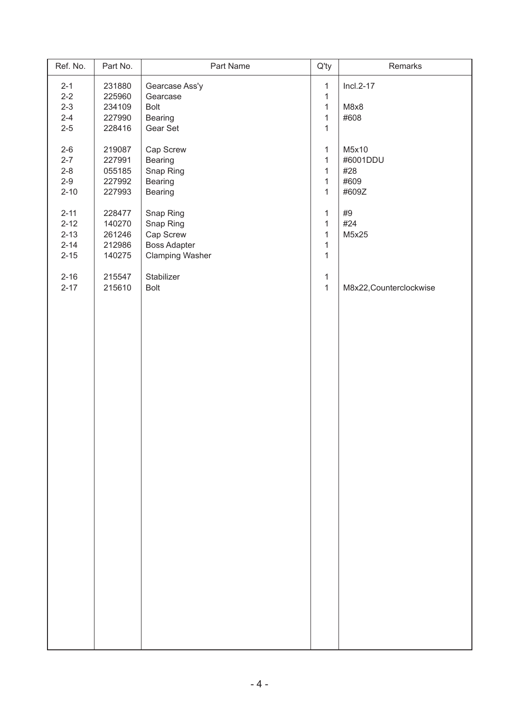| Ref. No.             | Part No.         | Part Name                 | $Q'$ ty                      | Remarks                 |
|----------------------|------------------|---------------------------|------------------------------|-------------------------|
| $2 - 1$              | 231880           | Gearcase Ass'y            | $\mathbf{1}$                 | $Incl.2-17$             |
| $2 - 2$              | 225960           | Gearcase                  | $\mathbf{1}$                 |                         |
| $2 - 3$              | 234109           | <b>Bolt</b>               | $\mathbf{1}$                 | M8x8                    |
| $2 - 4$              | 227990           | Bearing                   | $\mathbf{1}$                 | #608                    |
| $2-5$                | 228416           | Gear Set                  | $\mathbf{1}$                 |                         |
|                      |                  |                           |                              |                         |
| $2-6$                | 219087           | Cap Screw                 | $\mathbf{1}$                 | M5x10                   |
| $2 - 7$              | 227991           | Bearing                   | $\mathbf{1}$                 | #6001DDU                |
| $2 - 8$              | 055185           | Snap Ring                 | $\mathbf{1}$                 | #28                     |
| $2 - 9$<br>$2 - 10$  | 227992           | Bearing<br>Bearing        | $\mathbf{1}$<br>$\mathbf{1}$ | #609<br>#609Z           |
|                      | 227993           |                           |                              |                         |
| $2 - 11$             | 228477           | Snap Ring                 | $\mathbf{1}$                 | #9                      |
| $2 - 12$             | 140270           | Snap Ring                 | $\mathbf{1}$                 | #24                     |
| $2 - 13$             | 261246           | Cap Screw                 | $\mathbf{1}$                 | M5x25                   |
| $2 - 14$             | 212986           | <b>Boss Adapter</b>       | $\mathbf{1}$                 |                         |
| $2 - 15$             | 140275           | <b>Clamping Washer</b>    | $\mathbf{1}$                 |                         |
|                      |                  |                           |                              |                         |
| $2 - 16$<br>$2 - 17$ | 215547<br>215610 | Stabilizer<br><b>Bolt</b> | $\mathbf{1}$<br>$\mathbf{1}$ |                         |
|                      |                  |                           |                              | M8x22, Counterclockwise |
|                      |                  |                           |                              |                         |
|                      |                  |                           |                              |                         |
|                      |                  |                           |                              |                         |
|                      |                  |                           |                              |                         |
|                      |                  |                           |                              |                         |
|                      |                  |                           |                              |                         |
|                      |                  |                           |                              |                         |
|                      |                  |                           |                              |                         |
|                      |                  |                           |                              |                         |
|                      |                  |                           |                              |                         |
|                      |                  |                           |                              |                         |
|                      |                  |                           |                              |                         |
|                      |                  |                           |                              |                         |
|                      |                  |                           |                              |                         |
|                      |                  |                           |                              |                         |
|                      |                  |                           |                              |                         |
|                      |                  |                           |                              |                         |
|                      |                  |                           |                              |                         |
|                      |                  |                           |                              |                         |
|                      |                  |                           |                              |                         |
|                      |                  |                           |                              |                         |
|                      |                  |                           |                              |                         |
|                      |                  |                           |                              |                         |
|                      |                  |                           |                              |                         |
|                      |                  |                           |                              |                         |
|                      |                  |                           |                              |                         |
|                      |                  |                           |                              |                         |
|                      |                  |                           |                              |                         |
|                      |                  |                           |                              |                         |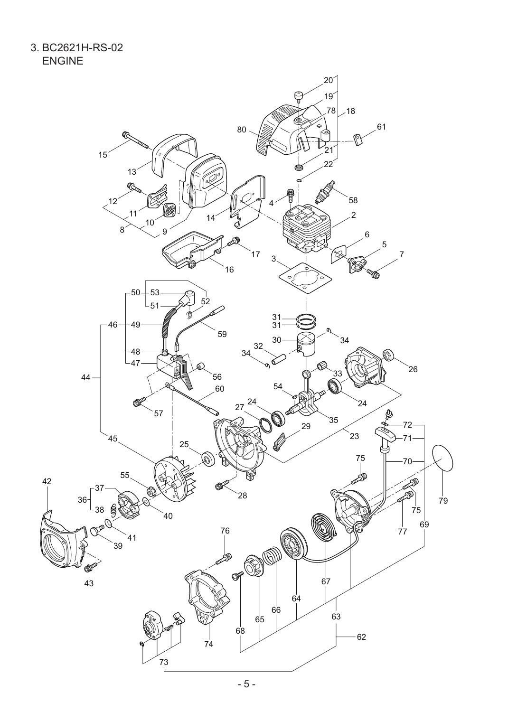3. BC2621H-RS-02 ENGINE

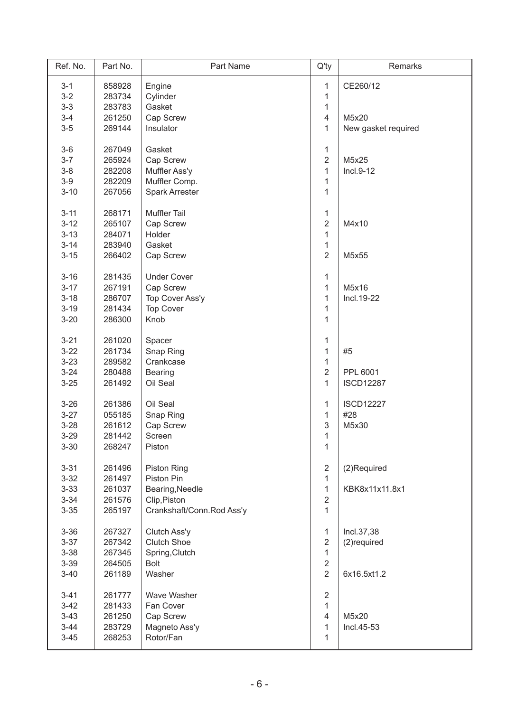| Ref. No. | Part No. | Part Name                 | $Q'$ ty        | Remarks             |
|----------|----------|---------------------------|----------------|---------------------|
| $3 - 1$  | 858928   | Engine                    | 1              | CE260/12            |
| $3-2$    | 283734   | Cylinder                  | 1              |                     |
| $3 - 3$  | 283783   | Gasket                    | 1              |                     |
| $3-4$    | 261250   | Cap Screw                 | $\overline{4}$ | M5x20               |
| $3-5$    | 269144   | Insulator                 | 1              | New gasket required |
|          |          |                           |                |                     |
| $3-6$    | 267049   | Gasket                    | 1              |                     |
| $3 - 7$  | 265924   | Cap Screw                 | $\overline{2}$ | M5x25               |
| $3-8$    | 282208   | Muffler Ass'y             | $\mathbf{1}$   | $Incl.9-12$         |
| $3-9$    | 282209   | Muffler Comp.             | 1              |                     |
| $3 - 10$ | 267056   | <b>Spark Arrester</b>     | $\mathbf{1}$   |                     |
|          |          |                           |                |                     |
| $3 - 11$ | 268171   | <b>Muffler Tail</b>       | 1              |                     |
| $3 - 12$ | 265107   | Cap Screw                 | $\overline{2}$ | M4x10               |
| $3 - 13$ | 284071   | Holder                    | $\mathbf{1}$   |                     |
| $3 - 14$ | 283940   | Gasket                    | 1              |                     |
| $3 - 15$ | 266402   | Cap Screw                 | $\overline{2}$ | M5x55               |
|          |          |                           |                |                     |
| $3 - 16$ | 281435   | <b>Under Cover</b>        | 1              |                     |
| $3 - 17$ | 267191   | Cap Screw                 | 1              | M5x16               |
| $3 - 18$ | 286707   | Top Cover Ass'y           | $\mathbf{1}$   | Incl. 19-22         |
| $3 - 19$ | 281434   | <b>Top Cover</b>          | 1              |                     |
| $3 - 20$ | 286300   | Knob                      | 1              |                     |
|          |          |                           |                |                     |
| $3 - 21$ | 261020   | Spacer                    | 1              |                     |
| $3 - 22$ | 261734   | Snap Ring                 | 1              | #5                  |
| $3 - 23$ | 289582   | Crankcase                 | 1              |                     |
| $3 - 24$ | 280488   | <b>Bearing</b>            | $\overline{2}$ | PPL 6001            |
| $3 - 25$ | 261492   | Oil Seal                  | 1              | <b>ISCD12287</b>    |
|          | 261386   | Oil Seal                  |                | <b>ISCD12227</b>    |
| $3 - 26$ |          |                           | 1              |                     |
| $3 - 27$ | 055185   | Snap Ring                 | 1              | #28                 |
| $3 - 28$ | 261612   | Cap Screw                 | 3              | M5x30               |
| $3 - 29$ | 281442   | Screen                    | 1              |                     |
| $3 - 30$ | 268247   | Piston                    | 1              |                     |
| $3 - 31$ | 261496   | <b>Piston Ring</b>        | $\overline{2}$ | (2)Required         |
| $3 - 32$ | 261497   | Piston Pin                | $\mathbf{1}$   |                     |
| $3 - 33$ | 261037   | Bearing, Needle           | 1              | KBK8x11x11.8x1      |
| $3 - 34$ | 261576   | Clip, Piston              | $\overline{2}$ |                     |
|          |          |                           | $\mathbf{1}$   |                     |
| $3 - 35$ | 265197   | Crankshaft/Conn.Rod Ass'y |                |                     |
| $3 - 36$ | 267327   | Clutch Ass'y              | 1              | Incl.37,38          |
| $3 - 37$ | 267342   | <b>Clutch Shoe</b>        | $\overline{2}$ | (2) required        |
| $3 - 38$ | 267345   | Spring, Clutch            | 1              |                     |
| $3 - 39$ | 264505   | <b>Bolt</b>               | $\overline{2}$ |                     |
| $3 - 40$ | 261189   | Washer                    | $\overline{2}$ | 6x16.5xt1.2         |
|          |          |                           |                |                     |
| $3 - 41$ | 261777   | <b>Wave Washer</b>        | $\overline{2}$ |                     |
| $3-42$   | 281433   | Fan Cover                 | 1              |                     |
| $3-43$   | 261250   | Cap Screw                 | $\overline{4}$ | M5x20               |
| $3 - 44$ | 283729   | Magneto Ass'y             | 1              | Incl.45-53          |
| $3 - 45$ | 268253   | Rotor/Fan                 | 1              |                     |
|          |          |                           |                |                     |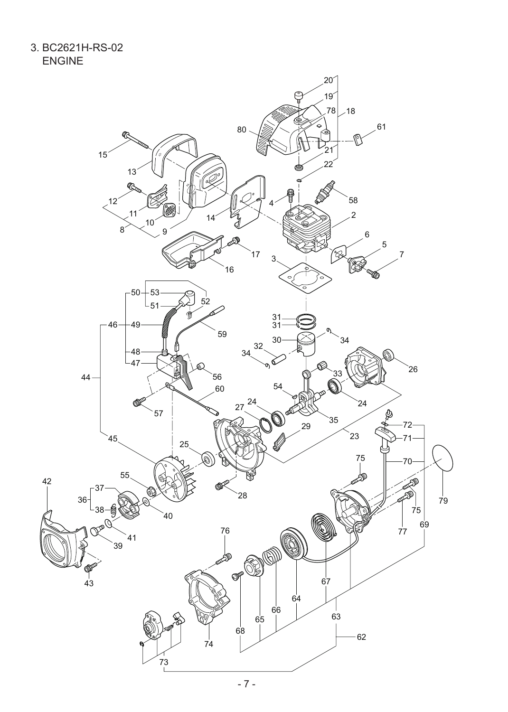3. BC2621H-RS-02 ENGINE

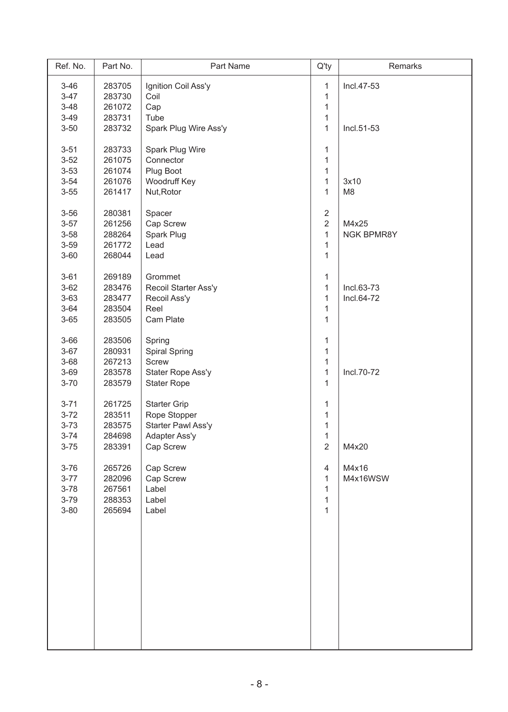| Ref. No. | Part No. | Part Name             | $Q'$ ty        | Remarks        |
|----------|----------|-----------------------|----------------|----------------|
| $3 - 46$ | 283705   | Ignition Coil Ass'y   | 1              | Incl.47-53     |
| $3 - 47$ | 283730   | Coil                  | 1              |                |
| $3 - 48$ | 261072   | Cap                   | 1              |                |
| $3 - 49$ | 283731   | Tube                  | 1              |                |
| $3 - 50$ | 283732   | Spark Plug Wire Ass'y | $\mathbf{1}$   | Incl.51-53     |
|          |          |                       |                |                |
| $3 - 51$ | 283733   | Spark Plug Wire       | 1              |                |
| $3 - 52$ | 261075   | Connector             | $\mathbf{1}$   |                |
| $3 - 53$ | 261074   | Plug Boot             | 1              |                |
| $3 - 54$ | 261076   | Woodruff Key          | 1              | 3x10           |
| $3 - 55$ | 261417   | Nut, Rotor            | $\mathbf{1}$   | M <sub>8</sub> |
|          |          |                       |                |                |
| $3 - 56$ | 280381   | Spacer                | $\overline{2}$ |                |
| $3 - 57$ | 261256   | Cap Screw             | $\overline{2}$ | M4x25          |
| $3 - 58$ | 288264   | Spark Plug            | $\mathbf{1}$   | NGK BPMR8Y     |
| $3 - 59$ | 261772   | Lead                  | 1              |                |
| $3 - 60$ | 268044   | Lead                  | $\mathbf{1}$   |                |
|          |          |                       |                |                |
| $3 - 61$ | 269189   | Grommet               | 1              |                |
| $3 - 62$ | 283476   | Recoil Starter Ass'y  | 1              | Incl.63-73     |
| $3 - 63$ | 283477   | Recoil Ass'y          | $\mathbf{1}$   | Incl.64-72     |
| $3 - 64$ | 283504   | Reel                  | 1              |                |
| $3 - 65$ | 283505   | Cam Plate             | 1              |                |
|          |          |                       |                |                |
| $3 - 66$ | 283506   | Spring                | 1              |                |
| $3 - 67$ | 280931   | <b>Spiral Spring</b>  | 1              |                |
| $3 - 68$ | 267213   | Screw                 | 1              |                |
| $3 - 69$ | 283578   | Stater Rope Ass'y     | 1              | Incl.70-72     |
| $3 - 70$ |          |                       | 1              |                |
|          | 283579   | <b>Stater Rope</b>    |                |                |
| $3 - 71$ | 261725   | <b>Starter Grip</b>   | 1              |                |
| $3 - 72$ | 283511   | Rope Stopper          | 1              |                |
| $3 - 73$ | 283575   | Starter Pawl Ass'y    | $\mathbf 1$    |                |
| $3 - 74$ | 284698   | Adapter Ass'y         | 1              |                |
| $3 - 75$ | 283391   | Cap Screw             | $\overline{2}$ | M4x20          |
|          |          |                       |                |                |
| $3 - 76$ | 265726   | Cap Screw             | 4              | M4x16          |
| $3 - 77$ | 282096   | Cap Screw             | $\mathbf{1}$   | M4x16WSW       |
| $3 - 78$ | 267561   | Label                 | 1              |                |
| $3 - 79$ | 288353   | Label                 | 1              |                |
| $3 - 80$ | 265694   | Label                 | $\mathbf{1}$   |                |
|          |          |                       |                |                |
|          |          |                       |                |                |
|          |          |                       |                |                |
|          |          |                       |                |                |
|          |          |                       |                |                |
|          |          |                       |                |                |
|          |          |                       |                |                |
|          |          |                       |                |                |
|          |          |                       |                |                |
|          |          |                       |                |                |
|          |          |                       |                |                |
|          |          |                       |                |                |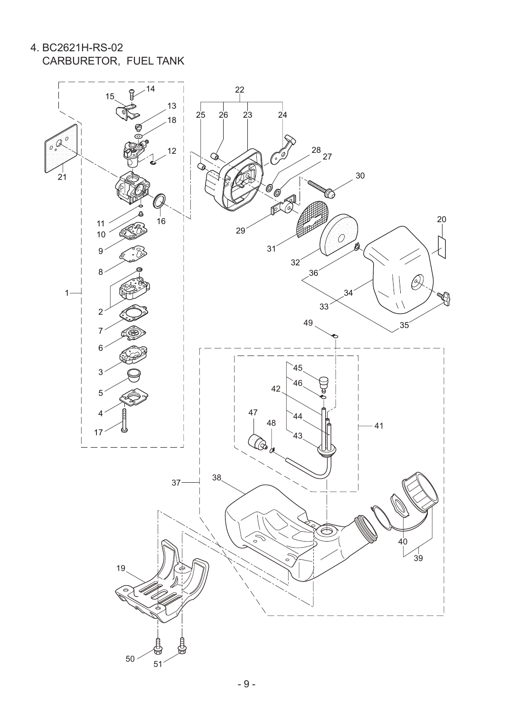4. BC2621H-RS-02 CARBURETOR, FUEL TANK

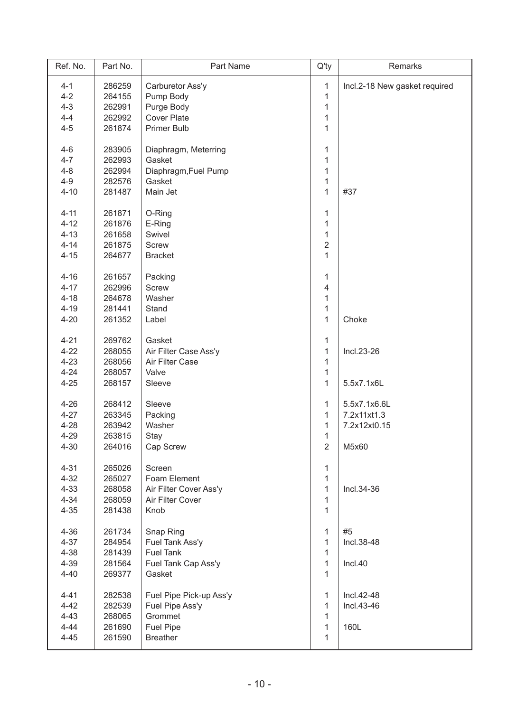| Ref. No. | Part No. | Part Name               | $Q'$ ty        | Remarks                       |
|----------|----------|-------------------------|----------------|-------------------------------|
| $4 - 1$  | 286259   | Carburetor Ass'y        | 1              | Incl.2-18 New gasket required |
| $4 - 2$  | 264155   | Pump Body               | $\mathbf{1}$   |                               |
| $4 - 3$  | 262991   | Purge Body              | $\mathbf{1}$   |                               |
| $4 - 4$  | 262992   | <b>Cover Plate</b>      | 1              |                               |
| $4 - 5$  | 261874   | <b>Primer Bulb</b>      | $\mathbf{1}$   |                               |
|          |          |                         |                |                               |
| $4 - 6$  | 283905   | Diaphragm, Meterring    | 1              |                               |
| $4 - 7$  | 262993   | Gasket                  | 1              |                               |
| $4 - 8$  | 262994   | Diaphragm, Fuel Pump    | 1              |                               |
| $4 - 9$  | 282576   | Gasket                  | $\mathbf{1}$   |                               |
| $4 - 10$ | 281487   | Main Jet                | $\mathbf{1}$   | #37                           |
| $4 - 11$ | 261871   | O-Ring                  | $\mathbf{1}$   |                               |
| $4 - 12$ | 261876   | E-Ring                  | $\mathbf{1}$   |                               |
| $4 - 13$ | 261658   | Swivel                  | 1              |                               |
| $4 - 14$ | 261875   | <b>Screw</b>            | $\overline{2}$ |                               |
| $4 - 15$ | 264677   | <b>Bracket</b>          | $\mathbf{1}$   |                               |
|          |          |                         |                |                               |
| $4 - 16$ | 261657   | Packing                 | $\mathbf{1}$   |                               |
| $4 - 17$ | 262996   | <b>Screw</b>            | 4              |                               |
| $4 - 18$ | 264678   | Washer                  | $\mathbf{1}$   |                               |
| $4 - 19$ | 281441   | Stand                   | $\mathbf{1}$   |                               |
| $4 - 20$ | 261352   | Label                   | $\mathbf{1}$   | Choke                         |
|          |          |                         |                |                               |
| $4 - 21$ | 269762   | Gasket                  | $\mathbf{1}$   |                               |
| $4 - 22$ | 268055   | Air Filter Case Ass'y   | $\mathbf{1}$   | Incl.23-26                    |
| $4 - 23$ | 268056   | Air Filter Case         | $\mathbf{1}$   |                               |
| $4 - 24$ | 268057   | Valve                   | $\mathbf{1}$   |                               |
| $4 - 25$ | 268157   | Sleeve                  | $\mathbf{1}$   | 5.5x7.1x6L                    |
| $4 - 26$ | 268412   | Sleeve                  | 1              | 5.5x7.1x6.6L                  |
| $4 - 27$ | 263345   | Packing                 | 1              | 7.2x11xt1.3                   |
| $4 - 28$ | 263942   | Washer                  | $\mathbf{1}$   | 7.2x12xt0.15                  |
| $4 - 29$ | 263815   | Stay                    | 1              |                               |
| $4 - 30$ | 264016   | Cap Screw               | $\overline{2}$ | M5x60                         |
|          |          |                         |                |                               |
| $4 - 31$ | 265026   | Screen                  | 1              |                               |
| $4 - 32$ | 265027   | Foam Element            | $\mathbf{1}$   |                               |
| $4 - 33$ | 268058   | Air Filter Cover Ass'y  | 1              | Incl.34-36                    |
| $4 - 34$ | 268059   | Air Filter Cover        | $\mathbf{1}$   |                               |
| $4 - 35$ | 281438   | Knob                    | $\mathbf{1}$   |                               |
| $4 - 36$ | 261734   | Snap Ring               | 1              | #5                            |
| $4 - 37$ | 284954   | Fuel Tank Ass'y         | $\mathbf{1}$   | Incl.38-48                    |
| $4 - 38$ | 281439   | <b>Fuel Tank</b>        | 1              |                               |
| $4 - 39$ | 281564   | Fuel Tank Cap Ass'y     | 1              | Incl.40                       |
| $4 - 40$ | 269377   | Gasket                  | $\mathbf{1}$   |                               |
|          |          |                         |                |                               |
| $4 - 41$ | 282538   | Fuel Pipe Pick-up Ass'y | 1              | Incl.42-48                    |
| $4 - 42$ | 282539   | Fuel Pipe Ass'y         | 1              | Incl.43-46                    |
| $4 - 43$ | 268065   | Grommet                 | 1              |                               |
| $4 - 44$ | 261690   | <b>Fuel Pipe</b>        | 1              | 160L                          |
| $4 - 45$ | 261590   | <b>Breather</b>         | $\mathbf{1}$   |                               |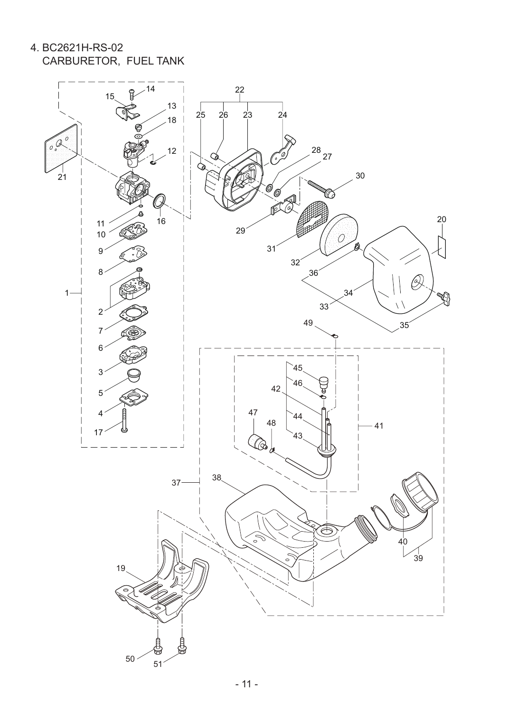4. BC2621H-RS-02 CARBURETOR, FUEL TANK

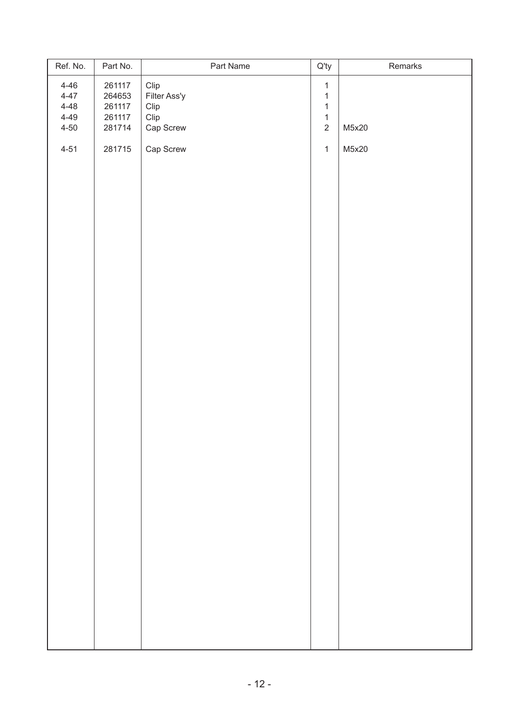| Ref. No. | Part No. | Part Name    | $Q'$ ty        | Remarks |
|----------|----------|--------------|----------------|---------|
| $4 - 46$ | 261117   | Clip         | $\mathbf{1}$   |         |
| $4 - 47$ | 264653   | Filter Ass'y | $\mathbf{1}$   |         |
| $4 - 48$ | 261117   | Clip         | $\mathbf{1}$   |         |
| $4 - 49$ | 261117   | Clip         | $\mathbf{1}$   |         |
| $4 - 50$ | 281714   | Cap Screw    | $\overline{2}$ | M5x20   |
| $4 - 51$ | 281715   | Cap Screw    | $\mathbf{1}$   | M5x20   |
|          |          |              |                |         |
|          |          |              |                |         |
|          |          |              |                |         |
|          |          |              |                |         |
|          |          |              |                |         |
|          |          |              |                |         |
|          |          |              |                |         |
|          |          |              |                |         |
|          |          |              |                |         |
|          |          |              |                |         |
|          |          |              |                |         |
|          |          |              |                |         |
|          |          |              |                |         |
|          |          |              |                |         |
|          |          |              |                |         |
|          |          |              |                |         |
|          |          |              |                |         |
|          |          |              |                |         |
|          |          |              |                |         |
|          |          |              |                |         |
|          |          |              |                |         |
|          |          |              |                |         |
|          |          |              |                |         |
|          |          |              |                |         |
|          |          |              |                |         |
|          |          |              |                |         |
|          |          |              |                |         |
|          |          |              |                |         |
|          |          |              |                |         |
|          |          |              |                |         |
|          |          |              |                |         |
|          |          |              |                |         |
|          |          |              |                |         |
|          |          |              |                |         |
|          |          |              |                |         |
|          |          |              |                |         |
|          |          |              |                |         |
|          |          |              |                |         |
|          |          |              |                |         |
|          |          |              |                |         |
|          |          |              |                |         |
|          |          |              |                |         |
|          |          |              |                |         |
|          |          |              |                |         |
|          |          |              |                |         |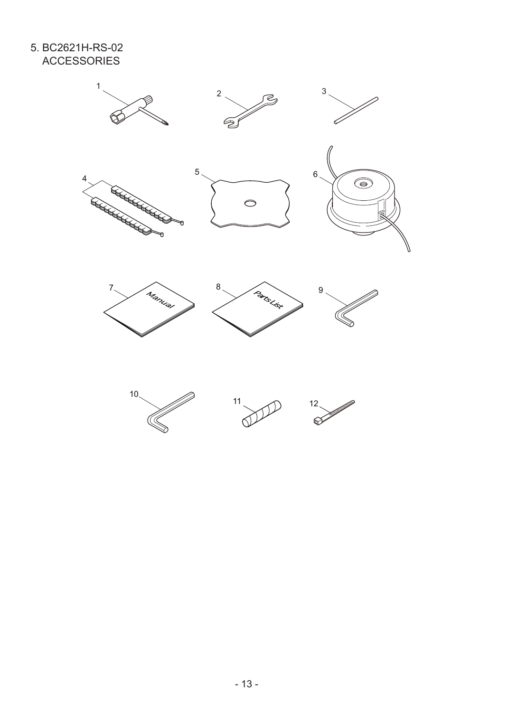